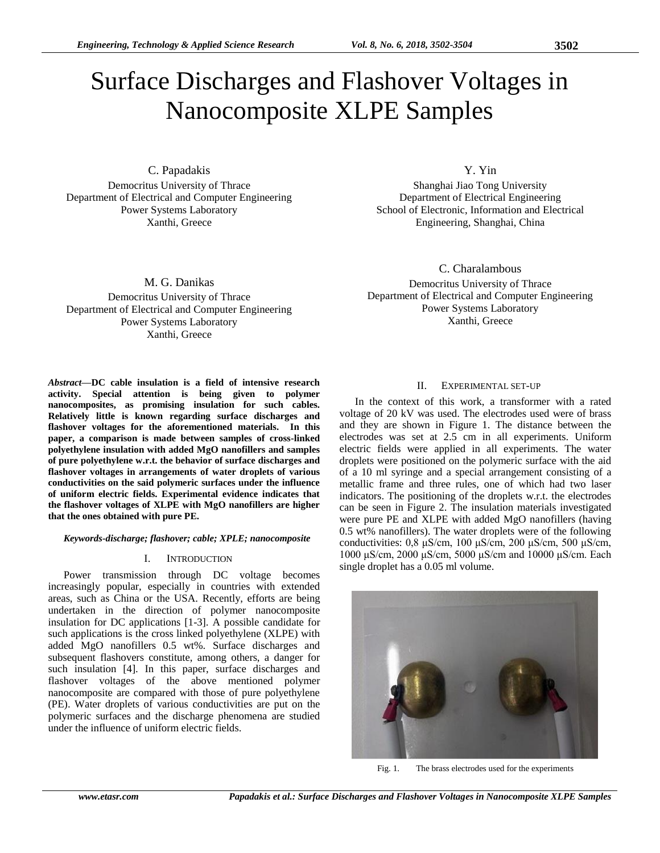# Surface Discharges and Flashover Voltages in Nanocomposite XLPE Samples

C. Papadakis

Democritus University of Thrace Department of Electrical and Computer Engineering Power Systems Laboratory Xanthi, Greece

M. G. Danikas Democritus University of Thrace Department of Electrical and Computer Engineering Power Systems Laboratory Xanthi, Greece

*Abstract***—DC cable insulation is a field of intensive research activity. Special attention is being given to polymer nanocomposites, as promising insulation for such cables. Relatively little is known regarding surface discharges and flashover voltages for the aforementioned materials. In this paper, a comparison is made between samples of cross-linked polyethylene insulation with added MgO nanofillers and samples of pure polyethylene w.r.t. the behavior of surface discharges and flashover voltages in arrangements of water droplets of various conductivities on the said polymeric surfaces under the influence of uniform electric fields. Experimental evidence indicates that the flashover voltages of XLPE with MgO nanofillers are higher that the ones obtained with pure PE.**

# *Keywords-discharge; flashover; cable; XPLE; nanocomposite*

# I. INTRODUCTION

Power transmission through DC voltage becomes increasingly popular, especially in countries with extended areas, such as China or the USA. Recently, efforts are being undertaken in the direction of polymer nanocomposite insulation for DC applications [1-3]. A possible candidate for such applications is the cross linked polyethylene (XLPE) with added MgO nanofillers 0.5 wt%. Surface discharges and subsequent flashovers constitute, among others, a danger for such insulation [4]. In this paper, surface discharges and flashover voltages of the above mentioned polymer nanocomposite are compared with those of pure polyethylene (PE). Water droplets of various conductivities are put on the polymeric surfaces and the discharge phenomena are studied under the influence of uniform electric fields.

Y. Yin

Shanghai Jiao Tong University Department of Electrical Engineering School of Electronic, Information and Electrical Engineering, Shanghai, China

C. Charalambous

Democritus University of Thrace Department of Electrical and Computer Engineering Power Systems Laboratory Xanthi, Greece

## II. EXPERIMENTAL SET-UP

In the context of this work, a transformer with a rated voltage of 20 kV was used. The electrodes used were of brass and they are shown in Figure 1. The distance between the electrodes was set at 2.5 cm in all experiments. Uniform electric fields were applied in all experiments. The water droplets were positioned on the polymeric surface with the aid of a 10 ml syringe and a special arrangement consisting of a metallic frame and three rules, one of which had two laser indicators. The positioning of the droplets w.r.t. the electrodes can be seen in Figure 2. The insulation materials investigated were pure PE and XLPE with added MgO nanofillers (having 0.5 wt% nanofillers). The water droplets were of the following conductivities: 0,8 μS/cm, 100 μS/cm, 200 μS/cm, 500 μS/cm, 1000 μS/cm, 2000 μS/cm, 5000 μS/cm and 10000 μS/cm. Each single droplet has a 0.05 ml volume.



Fig. 1. The brass electrodes used for the experiments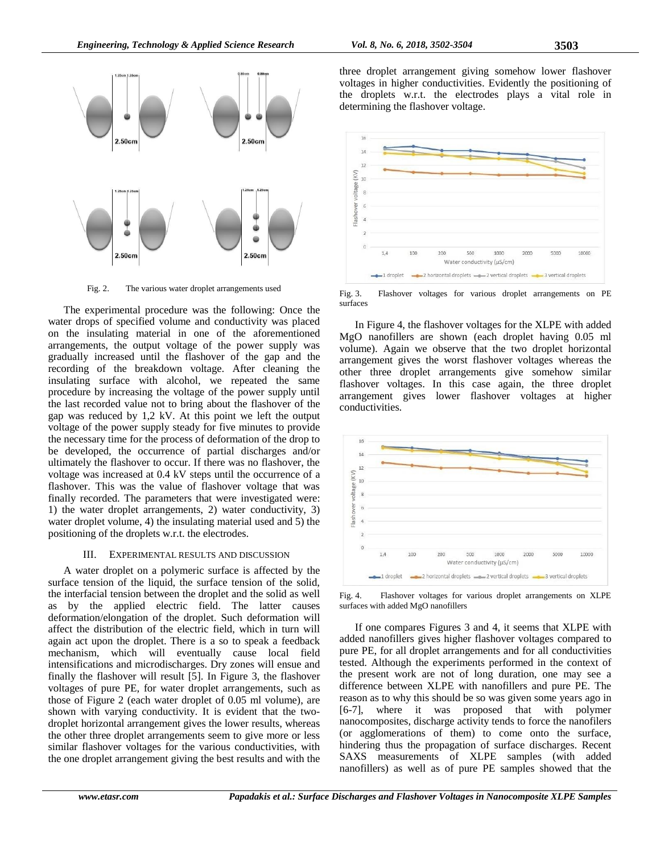

Fig. 2. The various water droplet arrangements used

The experimental procedure was the following: Once the water drops of specified volume and conductivity was placed on the insulating material in one of the aforementioned arrangements, the output voltage of the power supply was gradually increased until the flashover of the gap and the recording of the breakdown voltage. After cleaning the insulating surface with alcohol, we repeated the same procedure by increasing the voltage of the power supply until the last recorded value not to bring about the flashover of the gap was reduced by 1,2 kV. At this point we left the output voltage of the power supply steady for five minutes to provide the necessary time for the process of deformation of the drop to be developed, the occurrence of partial discharges and/or ultimately the flashover to occur. If there was no flashover, the voltage was increased at 0.4 kV steps until the occurrence of a flashover. This was the value of flashover voltage that was finally recorded. The parameters that were investigated were: 1) the water droplet arrangements, 2) water conductivity, 3) water droplet volume, 4) the insulating material used and 5) the positioning of the droplets w.r.t. the electrodes.

## III. EXPERIMENTAL RESULTS AND DISCUSSION

A water droplet on a polymeric surface is affected by the surface tension of the liquid, the surface tension of the solid, the interfacial tension between the droplet and the solid as well as by the applied electric field. The latter causes deformation/elongation of the droplet. Such deformation will affect the distribution of the electric field, which in turn will again act upon the droplet. There is a so to speak a feedback mechanism, which will eventually cause local field intensifications and microdischarges. Dry zones will ensue and finally the flashover will result [5]. In Figure 3, the flashover voltages of pure PE, for water droplet arrangements, such as those of Figure 2 (each water droplet of 0.05 ml volume), are shown with varying conductivity. It is evident that the twodroplet horizontal arrangement gives the lower results, whereas the other three droplet arrangements seem to give more or less similar flashover voltages for the various conductivities, with the one droplet arrangement giving the best results and with the

three droplet arrangement giving somehow lower flashover voltages in higher conductivities. Evidently the positioning of the droplets w.r.t. the electrodes plays a vital role in determining the flashover voltage.



Fig. 3. Flashover voltages for various droplet arrangements on PE surfaces

In Figure 4, the flashover voltages for the XLPE with added MgO nanofillers are shown (each droplet having 0.05 ml volume). Again we observe that the two droplet horizontal arrangement gives the worst flashover voltages whereas the other three droplet arrangements give somehow similar flashover voltages. In this case again, the three droplet arrangement gives lower flashover voltages at higher conductivities.



Fig. 4. Flashover voltages for various droplet arrangements on XLPE surfaces with added MgO nanofillers

If one compares Figures 3 and 4, it seems that XLPE with added nanofillers gives higher flashover voltages compared to pure PE, for all droplet arrangements and for all conductivities tested. Although the experiments performed in the context of the present work are not of long duration, one may see a difference between XLPE with nanofillers and pure PE. The reason as to why this should be so was given some years ago in [6-7], where it was proposed that with polymer nanocomposites, discharge activity tends to force the nanofilers (or agglomerations of them) to come onto the surface, hindering thus the propagation of surface discharges. Recent SAXS measurements of XLPE samples (with added nanofillers) as well as of pure PE samples showed that the